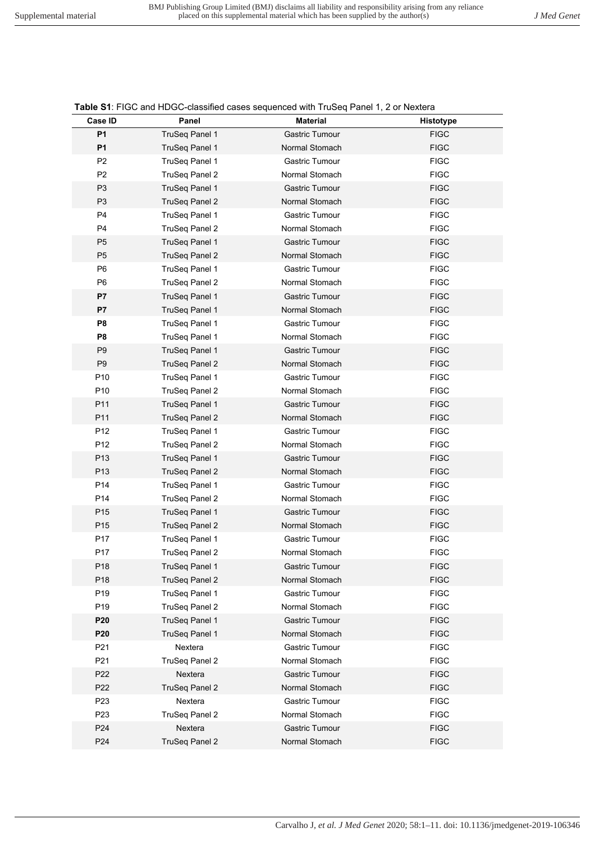|                 |                           | <b>Table 31.</b> TOO and TIDOO-Classified cases sequenced with Trubey Farier 1, 2 or Nextera |             |
|-----------------|---------------------------|----------------------------------------------------------------------------------------------|-------------|
| Case ID         | Panel                     | <b>Material</b>                                                                              | Histotype   |
| <b>P1</b>       | TruSeq Panel 1            | Gastric Tumour                                                                               | <b>FIGC</b> |
| <b>P1</b>       | <b>TruSeq Panel 1</b>     | Normal Stomach                                                                               | <b>FIGC</b> |
| P <sub>2</sub>  | TruSeg Panel 1            | Gastric Tumour                                                                               | <b>FIGC</b> |
| P <sub>2</sub>  | TruSeq Panel 2            | Normal Stomach                                                                               | <b>FIGC</b> |
| P <sub>3</sub>  | TruSeq Panel 1            | <b>Gastric Tumour</b>                                                                        | <b>FIGC</b> |
| P <sub>3</sub>  | <b>TruSeq Panel 2</b>     | Normal Stomach                                                                               | <b>FIGC</b> |
| P <sub>4</sub>  | TruSeg Panel 1            | Gastric Tumour                                                                               | <b>FIGC</b> |
| P <sub>4</sub>  | TruSeq Panel 2            | Normal Stomach                                                                               | <b>FIGC</b> |
| P <sub>5</sub>  | TruSeq Panel 1            | <b>Gastric Tumour</b>                                                                        | <b>FIGC</b> |
| P <sub>5</sub>  | TruSeq Panel 2            | Normal Stomach                                                                               | <b>FIGC</b> |
| P <sub>6</sub>  | TruSeg Panel 1            | Gastric Tumour                                                                               | <b>FIGC</b> |
| P <sub>6</sub>  | TruSeq Panel 2            | Normal Stomach                                                                               | <b>FIGC</b> |
| P7              | TruSeq Panel 1            | <b>Gastric Tumour</b>                                                                        | <b>FIGC</b> |
| P7              | TruSeq Panel 1            | Normal Stomach                                                                               | <b>FIGC</b> |
| P <sub>8</sub>  | TruSeq Panel 1            | Gastric Tumour                                                                               | <b>FIGC</b> |
| P <sub>8</sub>  | TruSeq Panel 1            | Normal Stomach                                                                               | <b>FIGC</b> |
| P <sub>9</sub>  | <b>TruSeq Panel 1</b>     | <b>Gastric Tumour</b>                                                                        | <b>FIGC</b> |
| P <sub>9</sub>  | TruSeq Panel 2            | Normal Stomach                                                                               | <b>FIGC</b> |
| P <sub>10</sub> | TruSeg Panel 1            | Gastric Tumour                                                                               | <b>FIGC</b> |
| P <sub>10</sub> | TruSeq Panel 2            | Normal Stomach                                                                               | <b>FIGC</b> |
| P11             | TruSeq Panel 1            | <b>Gastric Tumour</b>                                                                        | <b>FIGC</b> |
| P11             | <b>TruSeq Panel 2</b>     | Normal Stomach                                                                               | <b>FIGC</b> |
| P <sub>12</sub> | TruSeq Panel 1            | Gastric Tumour                                                                               | <b>FIGC</b> |
| P12             | TruSeq Panel 2            | Normal Stomach                                                                               | <b>FIGC</b> |
| P13             | TruSeq Panel 1            | <b>Gastric Tumour</b>                                                                        | <b>FIGC</b> |
| P13             | TruSeq Panel 2            | Normal Stomach                                                                               | <b>FIGC</b> |
| P14             | TruSeq Panel 1            | Gastric Tumour                                                                               | <b>FIGC</b> |
| P14             | TruSeq Panel 2            | Normal Stomach                                                                               | <b>FIGC</b> |
| P15             | TruSeq Panel 1            | <b>Gastric Tumour</b>                                                                        | <b>FIGC</b> |
| P15             | <b>TruSeq Panel 2</b>     | Normal Stomach                                                                               | <b>FIGC</b> |
| P17             | TruSeq Panel 1            | Gastric Tumour                                                                               | <b>FIGC</b> |
| P17             | TruSeg Panel 2            | Normal Stomach                                                                               | <b>FIGC</b> |
| P18             | <b>TruSeg Panel 1</b>     | Gastric Tumour                                                                               | <b>FIGC</b> |
| P18             | TruSeq Panel 2            | Normal Stomach                                                                               | <b>FIGC</b> |
| P <sub>19</sub> | TruSeq Panel 1            | Gastric Tumour                                                                               | <b>FIGC</b> |
| P19             | TruSeq Panel 2            | Normal Stomach                                                                               | <b>FIGC</b> |
| P <sub>20</sub> | TruSeq Panel 1            | <b>Gastric Tumour</b>                                                                        | <b>FIGC</b> |
| P <sub>20</sub> | TruSeq Panel 1            | Normal Stomach                                                                               | <b>FIGC</b> |
| P <sub>21</sub> | Nextera                   | Gastric Tumour                                                                               | <b>FIGC</b> |
| P <sub>21</sub> |                           | Normal Stomach                                                                               | <b>FIGC</b> |
|                 | TruSeq Panel 2<br>Nextera | <b>Gastric Tumour</b>                                                                        |             |
| P <sub>22</sub> |                           |                                                                                              | <b>FIGC</b> |
| P <sub>22</sub> | TruSeq Panel 2            | Normal Stomach                                                                               | <b>FIGC</b> |
| P <sub>23</sub> | Nextera                   | Gastric Tumour                                                                               | <b>FIGC</b> |
| P <sub>23</sub> | TruSeq Panel 2            | Normal Stomach                                                                               | <b>FIGC</b> |
| P <sub>24</sub> | Nextera                   | <b>Gastric Tumour</b>                                                                        | <b>FIGC</b> |
| P <sub>24</sub> | TruSeq Panel 2            | Normal Stomach                                                                               | <b>FIGC</b> |

**Table S1: FIGC and HDGC-classified cases sequenced with TruSeg Panel 1, 2 or Nextera**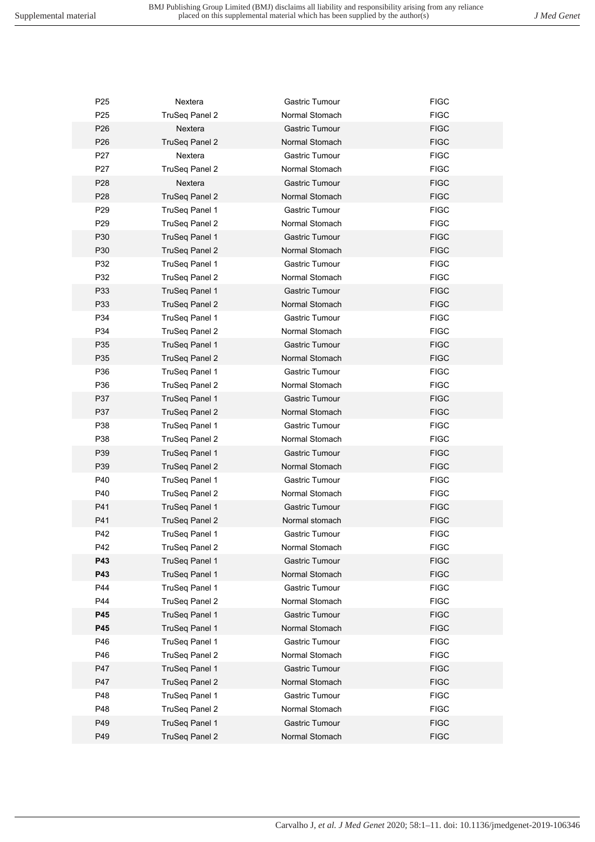| P <sub>25</sub> | Nextera               | Gastric Tumour | <b>FIGC</b> |
|-----------------|-----------------------|----------------|-------------|
| P <sub>25</sub> | TruSeq Panel 2        | Normal Stomach | <b>FIGC</b> |
| P <sub>26</sub> | Nextera               | Gastric Tumour | <b>FIGC</b> |
| P <sub>26</sub> | <b>TruSeg Panel 2</b> | Normal Stomach | <b>FIGC</b> |
| P <sub>27</sub> | Nextera               | Gastric Tumour | <b>FIGC</b> |
| P <sub>27</sub> | TruSeq Panel 2        | Normal Stomach | <b>FIGC</b> |
| P <sub>28</sub> | Nextera               | Gastric Tumour | <b>FIGC</b> |
| P <sub>28</sub> | TruSeq Panel 2        | Normal Stomach | <b>FIGC</b> |
| P <sub>29</sub> | TruSeg Panel 1        | Gastric Tumour | <b>FIGC</b> |
| P29             | TruSeq Panel 2        | Normal Stomach | <b>FIGC</b> |
| P30             | TruSeg Panel 1        | Gastric Tumour | <b>FIGC</b> |
| P30             | <b>TruSeg Panel 2</b> | Normal Stomach | <b>FIGC</b> |
| P32             | TruSeg Panel 1        | Gastric Tumour | <b>FIGC</b> |
| P32             | TruSeq Panel 2        | Normal Stomach | <b>FIGC</b> |
| P33             | TruSeg Panel 1        | Gastric Tumour | <b>FIGC</b> |
| P33             | <b>TruSeg Panel 2</b> | Normal Stomach | <b>FIGC</b> |
| P34             | TruSeq Panel 1        | Gastric Tumour | <b>FIGC</b> |
| P34             | TruSeq Panel 2        | Normal Stomach | <b>FIGC</b> |
| P35             | TruSeg Panel 1        | Gastric Tumour | <b>FIGC</b> |
| P35             | <b>TruSeg Panel 2</b> | Normal Stomach | <b>FIGC</b> |
| P36             | TruSeg Panel 1        | Gastric Tumour | <b>FIGC</b> |
| P36             |                       | Normal Stomach | <b>FIGC</b> |
|                 | TruSeq Panel 2        |                |             |
| P37<br>P37      | TruSeg Panel 1        | Gastric Tumour | <b>FIGC</b> |
|                 | <b>TruSeg Panel 2</b> | Normal Stomach | <b>FIGC</b> |
| P38             | TruSeq Panel 1        | Gastric Tumour | <b>FIGC</b> |
| P38             | TruSeq Panel 2        | Normal Stomach | <b>FIGC</b> |
| P39             | TruSeq Panel 1        | Gastric Tumour | <b>FIGC</b> |
| P39             | TruSeq Panel 2        | Normal Stomach | <b>FIGC</b> |
| P40             | TruSeq Panel 1        | Gastric Tumour | <b>FIGC</b> |
| P40             | TruSeq Panel 2        | Normal Stomach | <b>FIGC</b> |
| P41             | TruSeg Panel 1        | Gastric Tumour | <b>FIGC</b> |
| P41             | <b>TruSeg Panel 2</b> | Normal stomach | <b>FIGC</b> |
| P42             | TruSeg Panel 1        | Gastric Tumour | <b>FIGC</b> |
| P42             | TruSeq Panel 2        | Normal Stomach | <b>FIGC</b> |
| P43             | TruSeq Panel 1        | Gastric Tumour | <b>FIGC</b> |
| P43             | TruSeq Panel 1        | Normal Stomach | <b>FIGC</b> |
| P44             | TruSeq Panel 1        | Gastric Tumour | <b>FIGC</b> |
| P44             | TruSeq Panel 2        | Normal Stomach | <b>FIGC</b> |
| P45             | TruSeg Panel 1        | Gastric Tumour | <b>FIGC</b> |
| P45             | TruSeq Panel 1        | Normal Stomach | <b>FIGC</b> |
| P46             | TruSeq Panel 1        | Gastric Tumour | <b>FIGC</b> |
| P46             | TruSeq Panel 2        | Normal Stomach | <b>FIGC</b> |
| P47             | TruSeq Panel 1        | Gastric Tumour | <b>FIGC</b> |
| P47             | TruSeq Panel 2        | Normal Stomach | <b>FIGC</b> |
| P48             | TruSeq Panel 1        | Gastric Tumour | <b>FIGC</b> |
| P48             | TruSeq Panel 2        | Normal Stomach | <b>FIGC</b> |
| P49             | TruSeq Panel 1        | Gastric Tumour | <b>FIGC</b> |
| P49             | <b>TruSeq Panel 2</b> | Normal Stomach | <b>FIGC</b> |
|                 |                       |                |             |